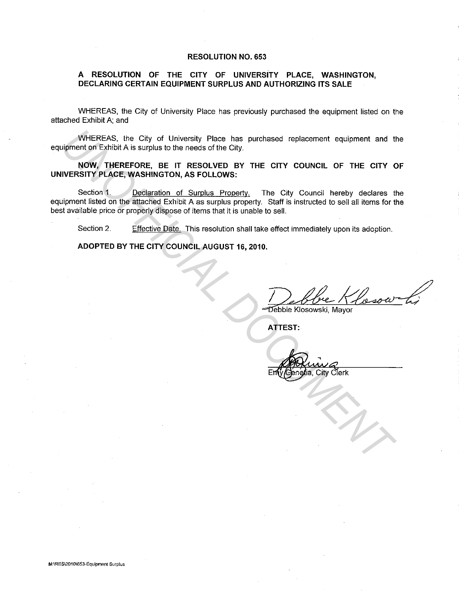## **RESOLUTION NO. 653**

## **A RESOLUTION OF THE CITY OF UNIVERSITY PLACE, WASHINGTON, DECLARING CERTAIN EQUIPMENT SURPLUS AND AUTHORIZING ITS SALE**

WHEREAS, the City of University Place has previously purchased the equipment listed on the attached Exhibit A; and

WHEREAS, the City of University Place has purchased replacement equipment and the equipment on Exhibit A is surplus to the needs of the City.

**NOW, THEREFORE, BE IT RESOLVED BY THE CITY COUNCIL OF THE CITY OF UNIVERSITY PLACE, WASHINGTON, AS FOLLOWS:** 

Section 1. Declaration of Surplus Property. The City Council hereby declares the equipment listed on the attached Exhibit A as surplus property. Staff is instructed to sell all items for the best available price or properly dispose of items that it is unable to sell. WHEREAS, the City of University Place has purchased replacement equipment and tip<br>sigment on Estibut A is surplus to the needs of the City.<br> **NOW, THEREORE, BE IT RESOLVED BY THE CITY COUNCIL OF THE CITY COUNCIL WERSITY PL** 

Section 2. Effective Date. This resolution shall take effect immediately upon its adoption.

**ADOPTED BY THE CITY COUNCIL AUGUST 16, 2010.** 

**ATTEST:** 

City Clerk